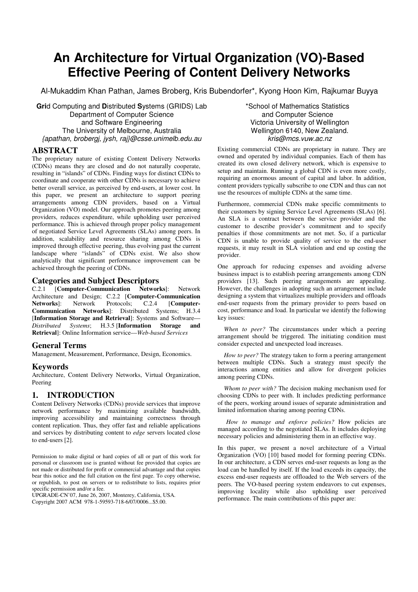# An Architecture for Virtual Organization (VO)-Based Effective Peering of Content Delivery Networks

Al-Mukaddim Khan Pathan, James Broberg, Kris Bubendorfer\*, Kyong Hoon Kim, Rajkumar Buyya

Grid Computing and Distributed Systems (GRIDS) Lab Department of Computer Science and Software Engineering The University of Melbourne, Australia {apathan, brobergj, jysh, raj}@csse.unimelb.edu.au

## ABSTRACT

The proprietary nature of existing Content Delivery Networks (CDNs) means they are closed and do not naturally cooperate, resulting in "islands" of CDNs. Finding ways for distinct CDNs to coordinate and cooperate with other CDNs is necessary to achieve better overall service, as perceived by end-users, at lower cost. In this paper, we present an architecture to support peering arrangements among CDN providers, based on a Virtual Organization (VO) model. Our approach promotes peering among providers, reduces expenditure, while upholding user perceived performance. This is achieved through proper policy management of negotiated Service Level Agreements (SLAs) among peers. In addition, scalability and resource sharing among CDNs is improved through effective peering, thus evolving past the current landscape where "islands" of CDNs exist. We also show analytically that significant performance improvement can be achieved through the peering of CDNs.

## Categories and Subject Descriptors

C.2.1 [Computer-Communication Networks]: Network Architecture and Design; C.2.2 [Computer-Communication<br>Networks]: Network Protocols; C.2.4 [Computer-[Computer-Communication Networks]: Distributed Systems; H.3.4 [Information Storage and Retrieval]: Systems and Software–– Distributed Systems; H.3.5 [Information Storage and Retrieval]: Online Information service––Web-based Services

#### General Terms

Management, Measurement, Performance, Design, Economics.

#### Keywords

Architecture, Content Delivery Networks, Virtual Organization, Peering

## 1. INTRODUCTION

Content Delivery Networks (CDNs) provide services that improve network performance by maximizing available bandwidth, improving accessibility and maintaining correctness through content replication. Thus, they offer fast and reliable applications and services by distributing content to edge servers located close to end-users [2].

Permission to make digital or hard copies of all or part of this work for personal or classroom use is granted without fee provided that copies are not made or distributed for profit or commercial advantage and that copies bear this notice and the full citation on the first page. To copy otherwise, or republish, to post on servers or to redistribute to lists, requires prior specific permission and/or a fee.

UPGRADE-CN'07, June 26, 2007, Monterey, California, USA. Copyright 2007 ACM 978-1-59593-718-6/07/0006...\$5.00.

\*School of Mathematics Statistics and Computer Science Victoria University of Wellington Wellington 6140, New Zealand. kris@mcs.vuw.ac.nz

Existing commercial CDNs are proprietary in nature. They are owned and operated by individual companies. Each of them has created its own closed delivery network, which is expensive to setup and maintain. Running a global CDN is even more costly, requiring an enormous amount of capital and labor. In addition, content providers typically subscribe to one CDN and thus can not use the resources of multiple CDNs at the same time.

Furthermore, commercial CDNs make specific commitments to their customers by signing Service Level Agreements (SLAs) [6]. An SLA is a contract between the service provider and the customer to describe provider's commitment and to specify penalties if those commitments are not met. So, if a particular CDN is unable to provide quality of service to the end-user requests, it may result in SLA violation and end up costing the provider.

One approach for reducing expenses and avoiding adverse business impact is to establish peering arrangements among CDN providers [13]. Such peering arrangements are appealing. However, the challenges in adopting such an arrangement include designing a system that virtualizes multiple providers and offloads end-user requests from the primary provider to peers based on cost, performance and load. In particular we identify the following key issues:

When to peer? The circumstances under which a peering arrangement should be triggered. The initiating condition must consider expected and unexpected load increases.

How to peer? The strategy taken to form a peering arrangement between multiple CDNs. Such a strategy must specify the interactions among entities and allow for divergent policies among peering CDNs.

Whom to peer with? The decision making mechanism used for choosing CDNs to peer with. It includes predicting performance of the peers, working around issues of separate administration and limited information sharing among peering CDNs.

How to manage and enforce policies? How policies are managed according to the negotiated SLAs. It includes deploying necessary policies and administering them in an effective way.

In this paper, we present a novel architecture of a Virtual Organization (VO) [10] based model for forming peering CDNs. In our architecture, a CDN serves end-user requests as long as the load can be handled by itself. If the load exceeds its capacity, the excess end-user requests are offloaded to the Web servers of the peers. The VO-based peering system endeavors to cut expenses, improving locality while also upholding user perceived performance. The main contributions of this paper are: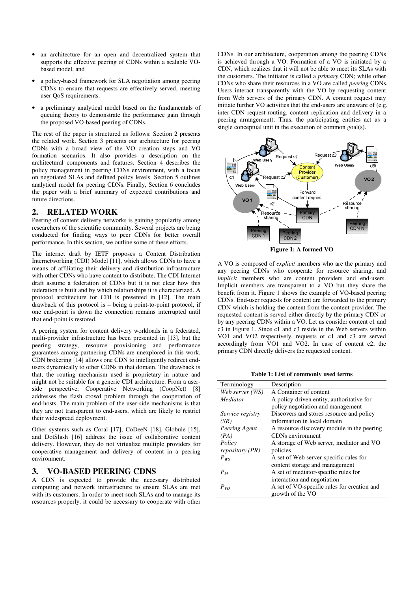- an architecture for an open and decentralized system that supports the effective peering of CDNs within a scalable VObased model, and
- a policy-based framework for SLA negotiation among peering CDNs to ensure that requests are effectively served, meeting user QoS requirements.
- a preliminary analytical model based on the fundamentals of queuing theory to demonstrate the performance gain through the proposed VO-based peering of CDNs.

The rest of the paper is structured as follows: Section 2 presents the related work. Section 3 presents our architecture for peering CDNs with a broad view of the VO creation steps and VO formation scenarios. It also provides a description on the architectural components and features. Section 4 describes the policy management in peering CDNs environment, with a focus on negotiated SLAs and defined policy levels. Section 5 outlines analytical model for peering CDNs. Finally, Section 6 concludes the paper with a brief summary of expected contributions and future directions.

## 2. RELATED WORK

Peering of content delivery networks is gaining popularity among researchers of the scientific community. Several projects are being conducted for finding ways to peer CDNs for better overall performance. In this section, we outline some of these efforts.

The internet draft by IETF proposes a Content Distribution Internetworking (CDI) Model [11], which allows CDNs to have a means of affiliating their delivery and distribution infrastructure with other CDNs who have content to distribute. The CDI Internet draft assume a federation of CDNs but it is not clear how this federation is built and by which relationships it is characterized. A protocol architecture for CDI is presented in [12]. The main drawback of this protocol is – being a point-to-point protocol, if one end-point is down the connection remains interrupted until that end-point is restored.

A peering system for content delivery workloads in a federated, multi-provider infrastructure has been presented in [13], but the peering strategy, resource provisioning and performance guarantees among partnering CDNs are unexplored in this work. CDN brokering [14] allows one CDN to intelligently redirect endusers dynamically to other CDNs in that domain. The drawback is that, the routing mechanism used is proprietary in nature and might not be suitable for a generic CDI architecture. From a userside perspective, Cooperative Networking (CoopNet) [8] addresses the flash crowd problem through the cooperation of end-hosts. The main problem of the user-side mechanisms is that they are not transparent to end-users, which are likely to restrict their widespread deployment.

Other systems such as Coral [17], CoDeeN [18], Globule [15], and DotSlash [16] address the issue of collaborative content delivery. However, they do not virtualize multiple providers for cooperative management and delivery of content in a peering environment.

#### 3. VO-BASED PEERING CDNS

A CDN is expected to provide the necessary distributed computing and network infrastructure to ensure SLAs are met with its customers. In order to meet such SLAs and to manage its resources properly, it could be necessary to cooperate with other

CDNs. In our architecture, cooperation among the peering CDNs is achieved through a VO. Formation of a VO is initiated by a CDN, which realizes that it will not be able to meet its SLAs with the customers. The initiator is called a primary CDN; while other CDNs who share their resources in a VO are called peering CDNs. Users interact transparently with the VO by requesting content from Web servers of the primary CDN. A content request may initiate further VO activities that the end-users are unaware of (e.g. inter-CDN request-routing, content replication and delivery in a peering arrangement). Thus, the participating entities act as a single conceptual unit in the execution of common goal(s).



Figure 1: A formed VO

A VO is composed of explicit members who are the primary and any peering CDNs who cooperate for resource sharing, and implicit members who are content providers and end-users. Implicit members are transparent to a VO but they share the benefit from it. Figure 1 shows the example of VO-based peering CDNs. End-user requests for content are forwarded to the primary CDN which is holding the content from the content provider. The requested content is served either directly by the primary CDN or by any peering CDNs within a VO. Let us consider content c1 and c3 in Figure 1. Since c1 and c3 reside in the Web servers within VO1 and VO2 respectively, requests of c1 and c3 are served accordingly from VO1 and VO2. In case of content c2, the primary CDN directly delivers the requested content.

Table 1: List of commonly used terms

| Terminology            | Description                                 |
|------------------------|---------------------------------------------|
| Web server (WS)        | A Container of content                      |
| Mediator               | A policy-driven entity, authoritative for   |
|                        | policy negotiation and management           |
| Service registry       | Discovers and stores resource and policy    |
| (SR)                   | information in local domain                 |
| Peering Agent          | A resource discovery module in the peering  |
| (PA)                   | CDNs environment                            |
| Policy                 | A storage of Web server, mediator and VO    |
| <i>repository (PR)</i> | policies                                    |
| $P_{WS}$               | A set of Web server-specific rules for      |
|                        | content storage and management              |
| $P_M$                  | A set of mediator-specific rules for        |
|                        | interaction and negotiation                 |
| $P_{VQ}$               | A set of VO-specific rules for creation and |
|                        | growth of the VO                            |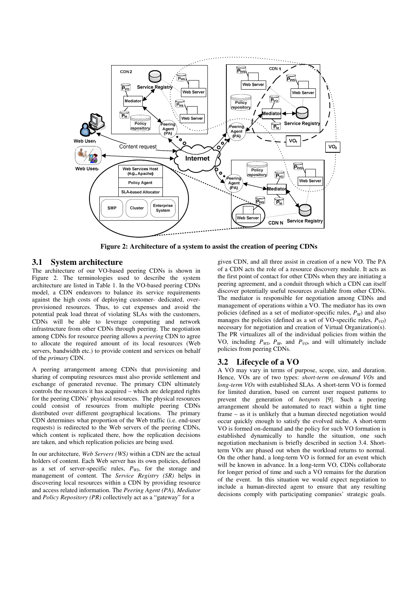

Figure 2: Architecture of a system to assist the creation of peering CDNs

## 3.1 System architecture

The architecture of our VO-based peering CDNs is shown in Figure 2. The terminologies used to describe the system architecture are listed in Table 1. In the VO-based peering CDNs model, a CDN endeavors to balance its service requirements against the high costs of deploying customer- dedicated, overprovisioned resources. Thus, to cut expenses and avoid the potential peak load threat of violating SLAs with the customers, CDNs will be able to leverage computing and network infrastructure from other CDNs through peering. The negotiation among CDNs for resource peering allows a peering CDN to agree to allocate the required amount of its local resources (Web servers, bandwidth etc.) to provide content and services on behalf of the primary CDN.

A peering arrangement among CDNs that provisioning and sharing of computing resources must also provide settlement and exchange of generated revenue. The primary CDN ultimately controls the resources it has acquired – which are delegated rights for the peering CDNs' physical resources. The physical resources could consist of resources from multiple peering CDNs distributed over different geographical locations. The primary CDN determines what proportion of the Web traffic (i.e. end-user requests) is redirected to the Web servers of the peering CDNs, which content is replicated there, how the replication decisions are taken, and which replication policies are being used.

In our architecture, Web Servers (WS) within a CDN are the actual holders of content. Each Web server has its own policies, defined as a set of server-specific rules,  $P_{WS}$ , for the storage and management of content. The Service Registry (SR) helps in discovering local resources within a CDN by providing resource and access related information. The Peering Agent (PA), Mediator and *Policy Repository (PR)* collectively act as a "gateway" for a

given CDN, and all three assist in creation of a new VO. The PA of a CDN acts the role of a resource discovery module. It acts as the first point of contact for other CDNs when they are initiating a peering agreement, and a conduit through which a CDN can itself discover potentially useful resources available from other CDNs. The mediator is responsible for negotiation among CDNs and management of operations within a VO. The mediator has its own policies (defined as a set of mediator-specific rules,  $P_M$ ) and also manages the policies (defined as a set of VO-specific rules,  $P_{VQ}$ ) necessary for negotiation and creation of Virtual Organization(s). The PR virtualizes all of the individual policies from within the VO, including  $P_{WS}$ ,  $P_M$ , and  $P_{VO}$ , and will ultimately include policies from peering CDNs.

## 3.2 Lifecycle of a VO

A VO may vary in terms of purpose, scope, size, and duration. Hence, VOs are of two types: short-term on-demand VOs and long-term VOs with established SLAs. A short-term VO is formed for limited duration, based on current user request patterns to prevent the generation of hotspots [9]. Such a peering arrangement should be automated to react within a tight time frame – as it is unlikely that a human directed negotiation would occur quickly enough to satisfy the evolved niche. A short-term VO is formed on-demand and the policy for such VO formation is established dynamically to handle the situation, one such negotiation mechanism is briefly described in section 3.4. Shortterm VOs are phased out when the workload returns to normal. On the other hand, a long-term VO is formed for an event which will be known in advance. In a long-term VO, CDNs collaborate for longer period of time and such a VO remains for the duration of the event. In this situation we would expect negotiation to include a human-directed agent to ensure that any resulting decisions comply with participating companies' strategic goals.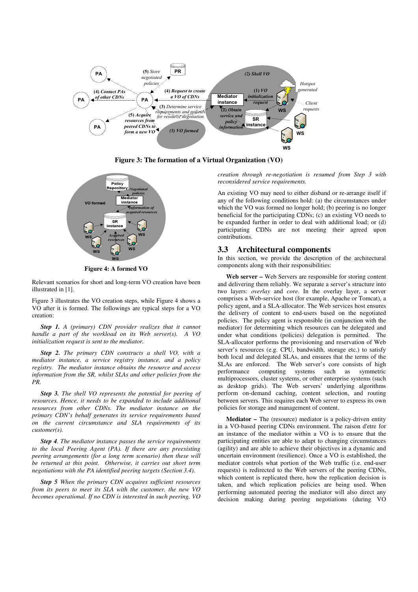

Figure 3: The formation of a Virtual Organization (VO)



Figure 4: A formed VO

Relevant scenarios for short and long-term VO creation have been illustrated in [1].

Figure 3 illustrates the VO creation steps, while Figure 4 shows a VO after it is formed. The followings are typical steps for a VO creation:

Step 1. A (primary) CDN provider realizes that it cannot handle a part of the workload on its Web server(s). A VO initialization request is sent to the mediator.

Step 2. The primary CDN constructs a shell VO, with a mediator instance, a service registry instance, and a policy registry. The mediator instance obtains the resource and access information from the SR, whilst SLAs and other policies from the PR.

Step 3. The shell VO represents the potential for peering of resources. Hence, it needs to be expanded to include additional resources from other CDNs. The mediator instance on the primary CDN's behalf generates its service requirements based on the current circumstance and SLA requirements of its customer(s).

Step 4. The mediator instance passes the service requirements to the local Peering Agent (PA). If there are any preexisting peering arrangements (for a long term scenario) then these will be returned at this point. Otherwise, it carries out short term negotiations with the PA identified peering targets (Section 3.4).

Step 5 When the primary CDN acquires sufficient resources from its peers to meet its SLA with the customer, the new VO becomes operational. If no CDN is interested in such peering, VO

creation through re-negotiation is resumed from Step 3 with reconsidered service requirements.

An existing VO may need to either disband or re-arrange itself if any of the following conditions hold: (a) the circumstances under which the VO was formed no longer hold; (b) peering is no longer beneficial for the participating CDNs; (c) an existing VO needs to be expanded further in order to deal with additional load; or (d) participating CDNs are not meeting their agreed upon contributions.

#### 3.3 Architectural components

In this section, we provide the description of the architectural components along with their responsibilities:

Web server – Web Servers are responsible for storing content and delivering them reliably. We separate a server's structure into two layers: overlay and core. In the overlay layer, a server comprises a Web-service host (for example, Apache or Tomcat), a policy agent, and a SLA-allocator. The Web services host ensures the delivery of content to end-users based on the negotiated policies. The policy agent is responsible (in conjunction with the mediator) for determining which resources can be delegated and under what conditions (policies) delegation is permitted. The SLA-allocator performs the provisioning and reservation of Web server's resources (e.g. CPU, bandwidth, storage etc.) to satisfy both local and delegated SLAs, and ensures that the terms of the SLAs are enforced. The Web server's core consists of high performance computing systems such as symmetric multiprocessors, cluster systems, or other enterprise systems (such as desktop grids). The Web servers' underlying algorithms perform on-demand caching, content selection, and routing between servers. This requires each Web server to express its own policies for storage and management of content.

Mediator – The (resource) mediator is a policy-driven entity in a VO-based peering CDNs environment. The raison d'etre for an instance of the mediator within a VO is to ensure that the participating entities are able to adapt to changing circumstances (agility) and are able to achieve their objectives in a dynamic and uncertain environment (resilience). Once a VO is established, the mediator controls what portion of the Web traffic (i.e. end-user requests) is redirected to the Web servers of the peering CDNs, which content is replicated there, how the replication decision is taken, and which replication policies are being used. When performing automated peering the mediator will also direct any decision making during peering negotiations (during VO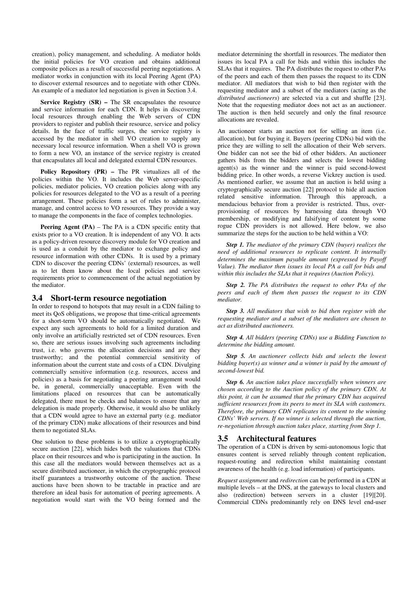creation), policy management, and scheduling. A mediator holds the initial policies for VO creation and obtains additional composite polices as a result of successful peering negotiations. A mediator works in conjunction with its local Peering Agent (PA) to discover external resources and to negotiate with other CDNs. An example of a mediator led negotiation is given in Section 3.4.

Service Registry (SR) – The SR encapsulates the resource and service information for each CDN. It helps in discovering local resources through enabling the Web servers of CDN providers to register and publish their resource, service and policy details. In the face of traffic surges, the service registry is accessed by the mediator in shell VO creation to supply any necessary local resource information. When a shell VO is grown to form a new VO, an instance of the service registry is created that encapsulates all local and delegated external CDN resources.

Policy Repository (PR) – The PR virtualizes all of the policies within the VO. It includes the Web server-specific policies, mediator policies, VO creation policies along with any policies for resources delegated to the VO as a result of a peering arrangement. These policies form a set of rules to administer, manage, and control access to VO resources. They provide a way to manage the components in the face of complex technologies.

Peering Agent (PA) – The PA is a CDN specific entity that exists prior to a VO creation. It is independent of any VO. It acts as a policy-driven resource discovery module for VO creation and is used as a conduit by the mediator to exchange policy and resource information with other CDNs. It is used by a primary CDN to discover the peering CDNs' (external) resources, as well as to let them know about the local policies and service requirements prior to commencement of the actual negotiation by the mediator.

#### 3.4 Short-term resource negotiation

In order to respond to hotspots that may result in a CDN failing to meet its QoS obligations, we propose that time-critical agreements for a short-term VO should be automatically negotiated. We expect any such agreements to hold for a limited duration and only involve an artificially restricted set of CDN resources. Even so, there are serious issues involving such agreements including trust, i.e. who governs the allocation decisions and are they trustworthy; and the potential commercial sensitivity of information about the current state and costs of a CDN. Divulging commercially sensitive information (e.g. resources, access and policies) as a basis for negotiating a peering arrangement would be, in general, commercially unacceptable. Even with the limitations placed on resources that can be automatically delegated, there must be checks and balances to ensure that any delegation is made properly. Otherwise, it would also be unlikely that a CDN would agree to have an external party (e.g. mediator of the primary CDN) make allocations of their resources and bind them to negotiated SLAs.

One solution to these problems is to utilize a cryptographically secure auction [22], which hides both the valuations that CDNs place on their resources and who is participating in the auction. In this case all the mediators would between themselves act as a secure distributed auctioneer, in which the cryptographic protocol itself guarantees a trustworthy outcome of the auction. These auctions have been shown to be tractable in practice and are therefore an ideal basis for automation of peering agreements. A negotiation would start with the VO being formed and the

mediator determining the shortfall in resources. The mediator then issues its local PA a call for bids and within this includes the SLAs that it requires. The PA distributes the request to other PAs of the peers and each of them then passes the request to its CDN mediator. All mediators that wish to bid then register with the requesting mediator and a subset of the mediators (acting as the distributed auctioneers) are selected via a cut and shuffle [23]. Note that the requesting mediator does not act as an auctioneer. The auction is then held securely and only the final resource allocations are revealed.

An auctioneer starts an auction not for selling an item (i.e. allocation), but for buying it. Buyers (peering CDNs) bid with the price they are willing to sell the allocation of their Web servers. One bidder can not see the bid of other bidders. An auctioneer gathers bids from the bidders and selects the lowest bidding agent(s) as the winner and the winner is paid second-lowest bidding price. In other words, a reverse Vickrey auction is used. As mentioned earlier, we assume that an auction is held using a cryptographically secure auction [22] protocol to hide all auction related sensitive information. Through this approach, a mendacious behavior from a provider is restricted. Thus, overprovisioning of resources by harnessing data through VO membership, or modifying and falsifying of content by some rogue CDN providers is not allowed. Here below, we also summarize the steps for the auction to be held within a VO:

Step 1. The mediator of the primary CDN (buyer) realizes the need of additional resources to replicate content. It internally determines the maximum payable amount (expressed by Payoff Value). The mediator then issues its local PA a call for bids and within this includes the SLAs that it requires (Auction Policy).

Step 2. The PA distributes the request to other PAs of the peers and each of them then passes the request to its CDN mediator.

Step 3. All mediators that wish to bid then register with the requesting mediator and a subset of the mediators are chosen to act as distributed auctioneers.

Step 4. All bidders (peering CDNs) use a Bidding Function to determine the bidding amount.

Step 5. An auctioneer collects bids and selects the lowest bidding buyer(s) as winner and a winner is paid by the amount of second-lowest bid.

Step 6. An auction takes place successfully when winners are chosen according to the Auction policy of the primary CDN. At this point, it can be assumed that the primary CDN has acquired sufficient resources from its peers to meet its SLA with customers. Therefore, the primary CDN replicates its content to the winning CDNs' Web servers. If no winner is selected through the auction, re-negotiation through auction takes place, starting from Step 1.

#### 3.5 Architectural features

The operation of a CDN is driven by semi-autonomous logic that ensures content is served reliably through content replication, request-routing and redirection whilst maintaining constant awareness of the health (e.g. load information) of participants.

Request assignment and redirection can be performed in a CDN at multiple levels – at the DNS, at the gateways to local clusters and also (redirection) between servers in a cluster [19][20]. Commercial CDNs predominantly rely on DNS level end-user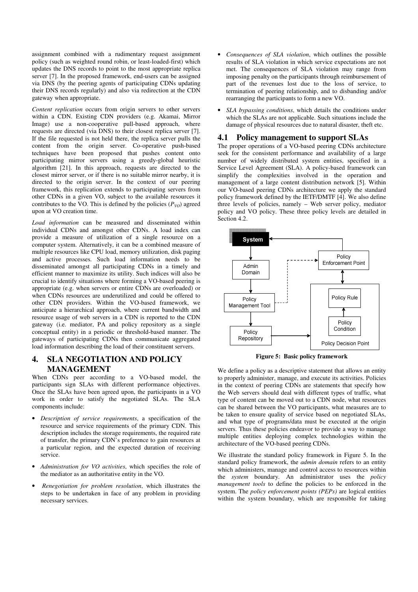assignment combined with a rudimentary request assignment policy (such as weighted round robin, or least-loaded-first) which updates the DNS records to point to the most appropriate replica server [7]. In the proposed framework, end-users can be assigned via DNS (by the peering agents of participating CDNs updating their DNS records regularly) and also via redirection at the CDN gateway when appropriate.

Content replication occurs from origin servers to other servers within a CDN. Existing CDN providers (e.g. Akamai, Mirror Image) use a non-cooperative pull-based approach, where requests are directed (via DNS) to their closest replica server [7]. If the file requested is not held there, the replica server pulls the content from the origin server. Co-operative push-based techniques have been proposed that pushes content onto participating mirror servers using a greedy-global heuristic algorithm [21]. In this approach, requests are directed to the closest mirror server, or if there is no suitable mirror nearby, it is directed to the origin server. In the context of our peering framework, this replication extends to participating servers from other CDNs in a given VO, subject to the available resources it contributes to the VO. This is defined by the policies ( $P_{VO}$ ) agreed upon at VO creation time.

Load information can be measured and disseminated within individual CDNs and amongst other CDNs. A load index can provide a measure of utilization of a single resource on a computer system. Alternatively, it can be a combined measure of multiple resources like CPU load, memory utilization, disk paging and active processes. Such load information needs to be disseminated amongst all participating CDNs in a timely and efficient manner to maximize its utility. Such indices will also be crucial to identify situations where forming a VO-based peering is appropriate (e.g. when servers or entire CDNs are overloaded) or when CDNs resources are underutilized and could be offered to other CDN providers. Within the VO-based framework, we anticipate a hierarchical approach, where current bandwidth and resource usage of web servers in a CDN is reported to the CDN gateway (i.e. mediator, PA and policy repository as a single conceptual entity) in a periodic or threshold-based manner. The gateways of participating CDNs then communicate aggregated load information describing the load of their constituent servers.

# 4. SLA NEGOTIATION AND POLICY MANAGEMENT

When CDNs peer according to a VO-based model, the participants sign SLAs with different performance objectives. Once the SLAs have been agreed upon, the participants in a VO work in order to satisfy the negotiated SLAs. The SLA components include:

- Description of service requirements, a specification of the resource and service requirements of the primary CDN. This description includes the storage requirements, the required rate of transfer, the primary CDN's preference to gain resources at a particular region, and the expected duration of receiving service.
- Administration for VO activities, which specifies the role of the mediator as an authoritative entity in the VO.
- Renegotiation for problem resolution, which illustrates the steps to be undertaken in face of any problem in providing necessary services.
- Consequences of SLA violation, which outlines the possible results of SLA violation in which service expectations are not met. The consequences of SLA violation may range from imposing penalty on the participants through reimbursement of part of the revenues lost due to the loss of service, to termination of peering relationship, and to disbanding and/or rearranging the participants to form a new VO.
- SLA bypassing conditions, which details the conditions under which the SLAs are not applicable. Such situations include the damage of physical resources due to natural disaster, theft etc.

#### 4.1 Policy management to support SLAs

The proper operations of a VO-based peering CDNs architecture seek for the consistent performance and availability of a large number of widely distributed system entities, specified in a Service Level Agreement (SLA). A policy-based framework can simplify the complexities involved in the operation and management of a large content distribution network [5]. Within our VO-based peering CDNs architecture we apply the standard policy framework defined by the IETF/DMTF [4]. We also define three levels of policies, namely – Web server policy, mediator policy and VO policy. These three policy levels are detailed in Section 4.2.



Figure 5: Basic policy framework

We define a policy as a descriptive statement that allows an entity to properly administer, manage, and execute its activities. Policies in the context of peering CDNs are statements that specify how the Web servers should deal with different types of traffic, what type of content can be moved out to a CDN node, what resources can be shared between the VO participants, what measures are to be taken to ensure quality of service based on negotiated SLAs, and what type of programs/data must be executed at the origin servers. Thus these policies endeavor to provide a way to manage multiple entities deploying complex technologies within the architecture of the VO-based peering CDNs.

We illustrate the standard policy framework in Figure 5. In the standard policy framework, the admin domain refers to an entity which administers, manage and control access to resources within the system boundary. An administrator uses the policy management tools to define the policies to be enforced in the system. The *policy enforcement points (PEPs)* are logical entities within the system boundary, which are responsible for taking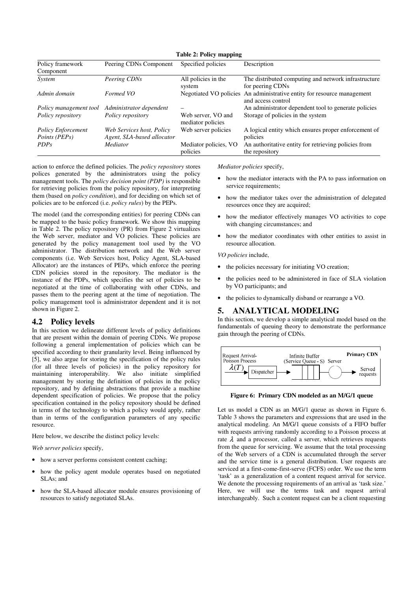| <b>Table 2: Policy mapping</b> |                            |                                         |                                                                        |  |
|--------------------------------|----------------------------|-----------------------------------------|------------------------------------------------------------------------|--|
| Policy framework               | Peering CDNs Component     | Specified policies                      | Description                                                            |  |
| Component                      |                            |                                         |                                                                        |  |
| System                         | Peering CDNs               | All policies in the                     | The distributed computing and network infrastructure                   |  |
|                                |                            | system                                  | for peering CDNs                                                       |  |
| Admin domain                   | Formed VO                  | Negotiated VO policies                  | An administrative entity for resource management                       |  |
|                                |                            |                                         | and access control                                                     |  |
| Policy management tool         | Administrator dependent    |                                         | An administrator dependent tool to generate policies                   |  |
| Policy repository              | Policy repository          | Web server, VO and<br>mediator policies | Storage of policies in the system                                      |  |
| <b>Policy Enforcement</b>      | Web Services host, Policy  | Web server policies                     | A logical entity which ensures proper enforcement of                   |  |
| Points (PEPs)                  | Agent, SLA-based allocator |                                         | policies                                                               |  |
| <i>PDPs</i>                    | Mediator                   | Mediator policies, VO<br>policies       | An authoritative entity for retrieving policies from<br>the repository |  |

action to enforce the defined policies. The policy repository stores polices generated by the administrators using the policy management tools. The policy decision point (PDP) is responsible for retrieving policies from the policy repository, for interpreting them (based on *policy condition*), and for deciding on which set of policies are to be enforced (i.e. policy rules) by the PEPs.

The model (and the corresponding entities) for peering CDNs can be mapped to the basic policy framework. We show this mapping in Table 2. The policy repository (PR) from Figure 2 virtualizes the Web server, mediator and VO policies. These policies are generated by the policy management tool used by the VO administrator. The distribution network and the Web server components (i.e. Web Services host, Policy Agent, SLA-based Allocator) are the instances of PEPs, which enforce the peering CDN policies stored in the repository. The mediator is the instance of the PDPs, which specifies the set of policies to be negotiated at the time of collaborating with other CDNs, and passes them to the peering agent at the time of negotiation. The policy management tool is administrator dependent and it is not shown in Figure 2.

#### 4.2 Policy levels

In this section we delineate different levels of policy definitions that are present within the domain of peering CDNs. We propose following a general implementation of policies which can be specified according to their granularity level. Being influenced by [5], we also argue for storing the specification of the policy rules (for all three levels of policies) in the policy repository for maintaining interoperability. We also initiate simplified management by storing the definition of policies in the policy repository, and by defining abstractions that provide a machine dependent specification of policies. We propose that the policy specification contained in the policy repository should be defined in terms of the technology to which a policy would apply, rather than in terms of the configuration parameters of any specific resource.

Here below, we describe the distinct policy levels:

Web server policies specify,

- how a server performs consistent content caching;
- how the policy agent module operates based on negotiated SLAs; and
- how the SLA-based allocator module ensures provisioning of resources to satisfy negotiated SLAs.

#### Mediator policies specify,

- how the mediator interacts with the PA to pass information on service requirements;
- how the mediator takes over the administration of delegated resources once they are acquired;
- how the mediator effectively manages VO activities to cope with changing circumstances; and
- how the mediator coordinates with other entities to assist in resource allocation.

VO policies include,

- the policies necessary for initiating VO creation;
- the policies need to be administered in face of SLA violation by VO participants; and
- the policies to dynamically disband or rearrange a VO.

## 5. ANALYTICAL MODELING

In this section, we develop a simple analytical model based on the fundamentals of queuing theory to demonstrate the performance gain through the peering of CDNs.



Figure 6: Primary CDN modeled as an M/G/1 queue

Let us model a CDN as an M/G/1 queue as shown in Figure 6. Table 3 shows the parameters and expressions that are used in the analytical modeling. An M/G/1 queue consists of a FIFO buffer with requests arriving randomly according to a Poisson process at rate  $\lambda$  and a processor, called a server, which retrieves requests from the queue for servicing. We assume that the total processing of the Web servers of a CDN is accumulated through the server and the service time is a general distribution. User requests are serviced at a first-come-first-serve (FCFS) order. We use the term 'task' as a generalization of a content request arrival for service. We denote the processing requirements of an arrival as 'task size.' Here, we will use the terms task and request arrival interchangeably. Such a content request can be a client requesting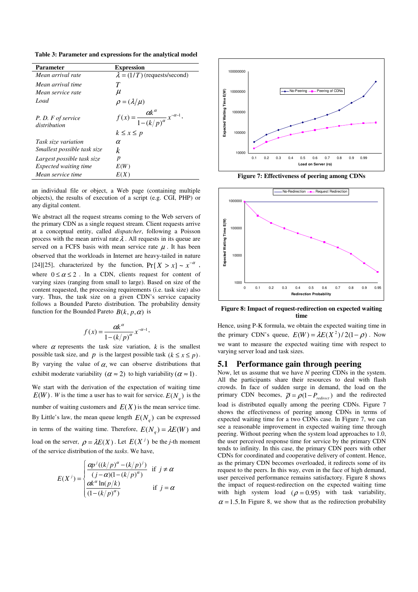Table 3: Parameter and expressions for the analytical model

| Parameter                         | <b>Expression</b>                                                 |
|-----------------------------------|-------------------------------------------------------------------|
| Mean arrival rate                 | $\lambda = (1/T)$ (requests/second)                               |
| Mean arrival time                 | Т                                                                 |
| Mean service rate                 | $\mu$                                                             |
| Load                              | $\rho = (\lambda/\mu)$                                            |
| P.D. F of service<br>distribution | $f(x) = \frac{\alpha k^{\alpha}}{1-(k/p)^{\alpha}} x^{-\alpha-1}$ |
|                                   | $k \leq x \leq p$                                                 |
| Task size variation               | $\alpha$                                                          |
| Smallest possible task size       | k                                                                 |
| Largest possible task size        | р                                                                 |
| <i>Expected waiting time</i>      | E(W)                                                              |
| Mean service time                 | E(X)                                                              |

an individual file or object, a Web page (containing multiple objects), the results of execution of a script (e.g. CGI, PHP) or any digital content.

We abstract all the request streams coming to the Web servers of the primary CDN as a single request stream. Client requests arrive at a conceptual entity, called dispatcher, following a Poisson process with the mean arrival rate  $\lambda$ . All requests in its queue are served on a FCFS basis with mean service rate  $\mu$ . It has been observed that the workloads in Internet are heavy-tailed in nature [24][25], characterized by the function,  $Pr\{X > x\} \sim x^{-\alpha}$ , where  $0 \le \alpha \le 2$ . In a CDN, clients request for content of varying sizes (ranging from small to large). Based on size of the content requested, the processing requirements (i.e. task size) also vary. Thus, the task size on a given CDN's service capacity follows a Bounded Pareto distribution. The probability density function for the Bounded Pareto  $B(k, p, \alpha)$  is

$$
f(x) = \frac{\alpha k^{\alpha}}{1 - (k/p)^{\alpha}} x^{-\alpha - 1},
$$

where  $\alpha$  represents the task size variation, k is the smallest possible task size, and p is the largest possible task  $(k \le x \le p)$ . By varying the value of  $\alpha$ , we can observe distributions that exhibit moderate variability ( $\alpha \approx 2$ ) to high variability ( $\alpha \approx 1$ ).

We start with the derivation of the expectation of waiting time  $E(W)$ . W is the time a user has to wait for service.  $E(N_q)$  is the number of waiting customers and  $E(X)$  is the mean service time. By Little's law, the mean queue length  $E(N_q)$  can be expressed in terms of the waiting time. Therefore,  $E(N_a) = \lambda E(W)$  and load on the server,  $\rho = \lambda E(X)$ . Let  $E(X^j)$  be the *j*-th moment of the service distribution of the tasks. We have,

$$
E(X^j) = \begin{cases} \frac{\alpha p^j((k/p)^\alpha - (k/p)^j)}{(j-\alpha)(1-(k/p)^\alpha)} & \text{if } j \neq \alpha \\ \frac{\alpha k^\alpha \ln(p/k)}{(1-(k/p)^\alpha)} & \text{if } j = \alpha \end{cases}
$$



Figure 7: Effectiveness of peering among CDNs



Figure 8: Impact of request-redirection on expected waiting time

Hence, using P-K formula, we obtain the expected waiting time in the primary CDN's queue,  $E(W) = \lambda E(X^2) / 2(1 - \rho)$ . Now we want to measure the expected waiting time with respect to varying server load and task sizes.

#### 5.1 Performance gain through peering

Now, let us assume that we have N peering CDNs in the system. All the participants share their resources to deal with flash crowds. In face of sudden surge in demand, the load on the primary CDN becomes,  $\overline{\rho} = \rho (1 - P_{redirect})$  and the redirected load is distributed equally among the peering CDNs. Figure 7 shows the effectiveness of peering among CDNs in terms of expected waiting time for a two CDNs case. In Figure 7, we can see a reasonable improvement in expected waiting time through peering. Without peering when the system load approaches to 1.0, the user perceived response time for service by the primary CDN tends to infinity. In this case, the primary CDN peers with other CDNs for coordinated and cooperative delivery of content. Hence, as the primary CDN becomes overloaded, it redirects some of its request to the peers. In this way, even in the face of high demand, user perceived performance remains satisfactory. Figure 8 shows the impact of request-redirection on the expected waiting time with high system load ( $\rho = 0.95$ ) with task variability,  $\alpha = 1.5$ . In Figure 8, we show that as the redirection probability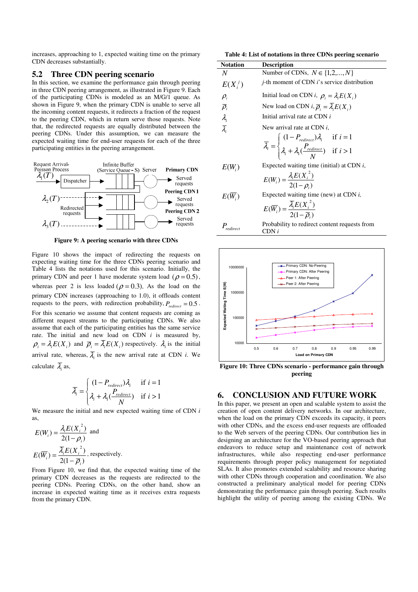increases, approaching to 1, expected waiting time on the primary CDN decreases substantially.

#### 5.2 Three CDN peering scenario

In this section, we examine the performance gain through peering in three CDN peering arrangement, as illustrated in Figure 9. Each of the participating CDNs is modeled as an M/G/1 queue. As shown in Figure 9, when the primary CDN is unable to serve all the incoming content requests, it redirects a fraction of the request to the peering CDN, which in return serve those requests. Note that, the redirected requests are equally distributed between the peering CDNs. Under this assumption, we can measure the expected waiting time for end-user requests for each of the three participating entities in the peering arrangement.



Figure 9: A peering scenario with three CDNs

Figure 10 shows the impact of redirecting the requests on expecting waiting time for the three CDNs peering scenario and Table 4 lists the notations used for this scenario. Initially, the primary CDN and peer 1 have moderate system load ( $\rho = 0.5$ ), whereas peer 2 is less loaded ( $\rho = 0.3$ ). As the load on the primary CDN increases (approaching to 1.0), it offloads content requests to the peers, with redirection probability,  $P_{redirect} = 0.5$ . For this scenario we assume that content requests are coming as different request streams to the participating CDNs. We also assume that each of the participating entities has the same service rate. The initial and new load on CDN  $i$  is measured by,  $\rho_i = \lambda_i E(X_i)$  and  $\overline{\rho}_i = \lambda_i E(X_i)$  respectively.  $\lambda_i$  is the initial arrival rate, whereas,  $\lambda_i$  is the new arrival rate at CDN *i*. We calculate  $\lambda_i$  as,

$$
\overline{\lambda}_i = \begin{cases} (1 - P_{redirect})\lambda_i & \text{if } i = 1\\ \lambda_i + \lambda_1(\frac{P_{redirect}}{N}) & \text{if } i > 1 \end{cases}
$$

We measure the initial and new expected waiting time of CDN  $i$ as,

$$
E(W_i) = \frac{\lambda_i E(X_i^2)}{2(1 - \rho_i)}
$$
 and  

$$
E(\overline{W_i}) = \frac{\overline{\lambda_i} E(X_i^2)}{2(1 - \overline{\rho_i})}
$$
, respectively.

From Figure 10, we find that, the expected waiting time of the primary CDN decreases as the requests are redirected to the peering CDNs. Peering CDNs, on the other hand, show an increase in expected waiting time as it receives extra requests from the primary CDN.

Table 4: List of notations in three CDNs peering scenario

| <b>Notation</b>        | <b>Description</b>                                                                                                                                             |
|------------------------|----------------------------------------------------------------------------------------------------------------------------------------------------------------|
| N                      | Number of CDNs, $N \in \{1, 2, , N\}$                                                                                                                          |
| $E(X_i^j)$             | <i>i</i> -th moment of CDN $i$ 's service distribution                                                                                                         |
| $\rho_i$               | Initial load on CDN <i>i</i> , $\rho_i = \lambda_i E(X_i)$                                                                                                     |
| $\overline{\rho}_i$    | New load on CDN i, $\overline{\rho}_i = \overline{\lambda}_i E(X_i)$                                                                                           |
| $\lambda_i$            | Initial arrival rate at CDN i                                                                                                                                  |
| $\overline{\lambda}_i$ | New arrival rate at CDN $i$ ,                                                                                                                                  |
|                        | $\overline{\lambda}_i = \begin{cases} (1-P_{redirect})\lambda_i & \text{if } i=1\\ \lambda_i + \lambda_1(\frac{P_{redirect}}{N}) & \text{if } i>1 \end{cases}$ |
| $E(W_i)$               | Expected waiting time (initial) at CDN $i$ ,                                                                                                                   |
|                        | $E(W_i) = \frac{\lambda_i E(X_i^2)}{2(1-\rho_i)}$                                                                                                              |
| $E(W_i)$               | Expected waiting time (new) at CDN $i$ ,                                                                                                                       |
|                        | $E(\overline{W_i}) = \frac{\lambda_i E(X_i^2)}{2(1 - \overline{\sigma})}$                                                                                      |
|                        | Probability to redirect content requests from<br>$CDN$ i                                                                                                       |



Figure 10: Three CDNs scenario - performance gain through peering

## 6. CONCLUSION AND FUTURE WORK

In this paper, we present an open and scalable system to assist the creation of open content delivery networks. In our architecture, when the load on the primary CDN exceeds its capacity, it peers with other CDNs, and the excess end-user requests are offloaded to the Web servers of the peering CDNs. Our contribution lies in designing an architecture for the VO-based peering approach that endeavors to reduce setup and maintenance cost of network infrastructures, while also respecting end-user performance requirements through proper policy management for negotiated SLAs. It also promotes extended scalability and resource sharing with other CDNs through cooperation and coordination. We also constructed a preliminary analytical model for peering CDNs demonstrating the performance gain through peering. Such results highlight the utility of peering among the existing CDNs. We